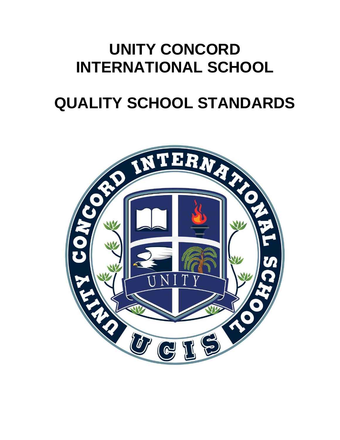## **UNITY CONCORD INTERNATIONAL SCHOOL**

# **QUALITY SCHOOL STANDARDS**

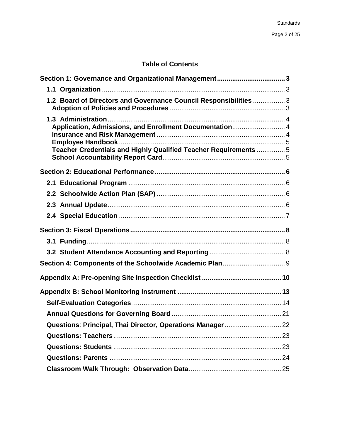### <span id="page-1-0"></span>**Table of Contents**

| 1.2 Board of Directors and Governance Council Responsibilities  3                                                           |
|-----------------------------------------------------------------------------------------------------------------------------|
| Application, Admissions, and Enrollment Documentation 4<br>Teacher Credentials and Highly Qualified Teacher Requirements  5 |
|                                                                                                                             |
|                                                                                                                             |
|                                                                                                                             |
|                                                                                                                             |
|                                                                                                                             |
|                                                                                                                             |
|                                                                                                                             |
|                                                                                                                             |
|                                                                                                                             |
|                                                                                                                             |
|                                                                                                                             |
|                                                                                                                             |
|                                                                                                                             |
|                                                                                                                             |
|                                                                                                                             |
|                                                                                                                             |
|                                                                                                                             |
|                                                                                                                             |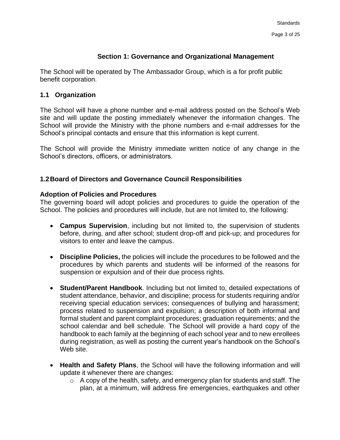#### **Section 1: Governance and Organizational Management**

The School will be operated by The Ambassador Group, which is a for profit public benefit corporation.

#### <span id="page-2-0"></span>**1.1 Organization**

The School will have a phone number and e-mail address posted on the School's Web site and will update the posting immediately whenever the information changes. The School will provide the Ministry with the phone numbers and e-mail addresses for the School's principal contacts and ensure that this information is kept current.

The School will provide the Ministry immediate written notice of any change in the School's directors, officers, or administrators.

#### <span id="page-2-1"></span>**1.2Board of Directors and Governance Council Responsibilities**

#### <span id="page-2-2"></span>**Adoption of Policies and Procedures**

The governing board will adopt policies and procedures to guide the operation of the School. The policies and procedures will include, but are not limited to, the following:

- **Campus Supervision**, including but not limited to, the supervision of students before, during, and after school; student drop-off and pick-up; and procedures for visitors to enter and leave the campus.
- **Discipline Policies,** the policies will include the procedures to be followed and the procedures by which parents and students will be informed of the reasons for suspension or expulsion and of their due process rights.
- **Student/Parent Handbook**. Including but not limited to, detailed expectations of student attendance, behavior, and discipline; process for students requiring and/or receiving special education services; consequences of bullying and harassment; process related to suspension and expulsion; a description of both informal and formal student and parent complaint procedures; graduation requirements; and the school calendar and bell schedule. The School will provide a hard copy of the handbook to each family at the beginning of each school year and to new enrollees during registration, as well as posting the current year's handbook on the School's Web site.
- **Health and Safety Plans**, the School will have the following information and will update it whenever there are changes:
	- $\circ$  A copy of the health, safety, and emergency plan for students and staff. The plan, at a minimum, will address fire emergencies, earthquakes and other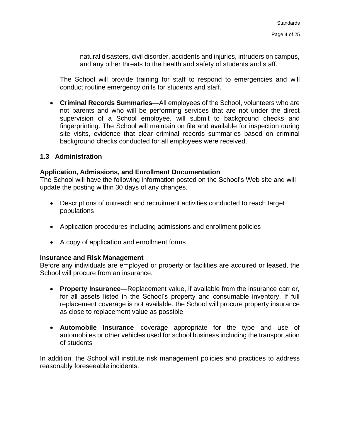natural disasters, civil disorder, accidents and injuries, intruders on campus, and any other threats to the health and safety of students and staff.

The School will provide training for staff to respond to emergencies and will conduct routine emergency drills for students and staff.

• **Criminal Records Summaries**—All employees of the School, volunteers who are not parents and who will be performing services that are not under the direct supervision of a School employee, will submit to background checks and fingerprinting. The School will maintain on file and available for inspection during site visits, evidence that clear criminal records summaries based on criminal background checks conducted for all employees were received.

#### <span id="page-3-0"></span>**1.3 Administration**

#### <span id="page-3-1"></span>**Application, Admissions, and Enrollment Documentation**

The School will have the following information posted on the School's Web site and will update the posting within 30 days of any changes.

- Descriptions of outreach and recruitment activities conducted to reach target populations
- Application procedures including admissions and enrollment policies
- A copy of application and enrollment forms

#### <span id="page-3-2"></span>**Insurance and Risk Management**

Before any individuals are employed or property or facilities are acquired or leased, the School will procure from an insurance.

- **Property Insurance**—Replacement value, if available from the insurance carrier, for all assets listed in the School's property and consumable inventory. If full replacement coverage is not available, the School will procure property insurance as close to replacement value as possible.
- **Automobile Insurance**—coverage appropriate for the type and use of automobiles or other vehicles used for school business including the transportation of students

<span id="page-3-3"></span>In addition, the School will institute risk management policies and practices to address reasonably foreseeable incidents.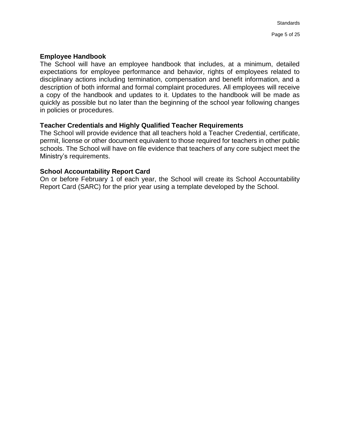#### **Employee Handbook**

The School will have an employee handbook that includes, at a minimum, detailed expectations for employee performance and behavior, rights of employees related to disciplinary actions including termination, compensation and benefit information, and a description of both informal and formal complaint procedures. All employees will receive a copy of the handbook and updates to it. Updates to the handbook will be made as quickly as possible but no later than the beginning of the school year following changes in policies or procedures.

#### <span id="page-4-0"></span>**Teacher Credentials and Highly Qualified Teacher Requirements**

The School will provide evidence that all teachers hold a Teacher Credential, certificate, permit, license or other document equivalent to those required for teachers in other public schools. The School will have on file evidence that teachers of any core subject meet the Ministry's requirements.

#### <span id="page-4-1"></span>**School Accountability Report Card**

On or before February 1 of each year, the School will create its School Accountability Report Card (SARC) for the prior year using a template developed by the School.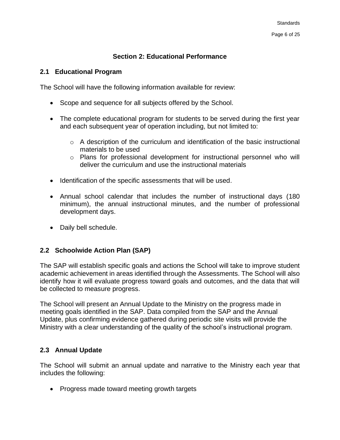#### **Section 2: Educational Performance**

#### <span id="page-5-1"></span><span id="page-5-0"></span>**2.1 Educational Program**

The School will have the following information available for review:

- Scope and sequence for all subjects offered by the School.
- The complete educational program for students to be served during the first year and each subsequent year of operation including, but not limited to:
	- $\circ$  A description of the curriculum and identification of the basic instructional materials to be used
	- o Plans for professional development for instructional personnel who will deliver the curriculum and use the instructional materials
- Identification of the specific assessments that will be used.
- Annual school calendar that includes the number of instructional days (180 minimum), the annual instructional minutes, and the number of professional development days.
- Daily bell schedule.

#### <span id="page-5-2"></span>**2.2 Schoolwide Action Plan (SAP)**

The SAP will establish specific goals and actions the School will take to improve student academic achievement in areas identified through the Assessments. The School will also identify how it will evaluate progress toward goals and outcomes, and the data that will be collected to measure progress.

The School will present an Annual Update to the Ministry on the progress made in meeting goals identified in the SAP. Data compiled from the SAP and the Annual Update, plus confirming evidence gathered during periodic site visits will provide the Ministry with a clear understanding of the quality of the school's instructional program.

#### <span id="page-5-3"></span>**2.3 Annual Update**

The School will submit an annual update and narrative to the Ministry each year that includes the following:

• Progress made toward meeting growth targets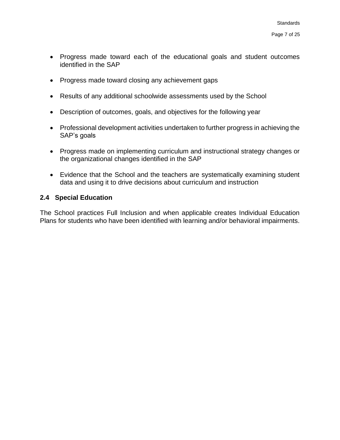- Progress made toward each of the educational goals and student outcomes identified in the SAP
- Progress made toward closing any achievement gaps
- Results of any additional schoolwide assessments used by the School
- Description of outcomes, goals, and objectives for the following year
- Professional development activities undertaken to further progress in achieving the SAP's goals
- Progress made on implementing curriculum and instructional strategy changes or the organizational changes identified in the SAP
- Evidence that the School and the teachers are systematically examining student data and using it to drive decisions about curriculum and instruction

#### <span id="page-6-0"></span>**2.4 Special Education**

The School practices Full Inclusion and when applicable creates Individual Education Plans for students who have been identified with learning and/or behavioral impairments.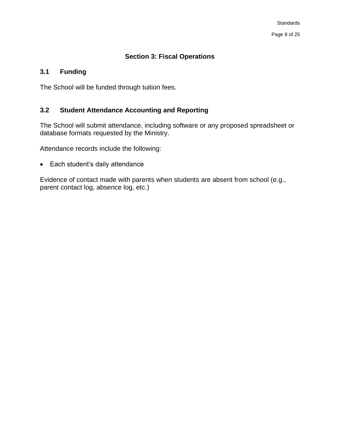#### **Section 3: Fiscal Operations**

#### <span id="page-7-1"></span><span id="page-7-0"></span>**3.1 Funding**

The School will be funded through tuition fees.

#### <span id="page-7-2"></span>**3.2 Student Attendance Accounting and Reporting**

The School will submit attendance, including software or any proposed spreadsheet or database formats requested by the Ministry.

Attendance records include the following:

• Each student's daily attendance

Evidence of contact made with parents when students are absent from school (e.g., parent contact log, absence log, etc.)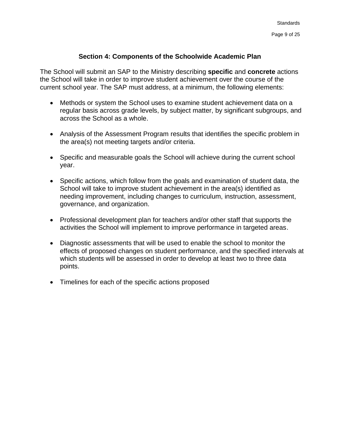#### **Section 4: Components of the Schoolwide Academic Plan**

<span id="page-8-0"></span>The School will submit an SAP to the Ministry describing **specific** and **concrete** actions the School will take in order to improve student achievement over the course of the current school year. The SAP must address, at a minimum, the following elements:

- Methods or system the School uses to examine student achievement data on a regular basis across grade levels, by subject matter, by significant subgroups, and across the School as a whole.
- Analysis of the Assessment Program results that identifies the specific problem in the area(s) not meeting targets and/or criteria.
- Specific and measurable goals the School will achieve during the current school year.
- Specific actions, which follow from the goals and examination of student data, the School will take to improve student achievement in the area(s) identified as needing improvement, including changes to curriculum, instruction, assessment, governance, and organization.
- Professional development plan for teachers and/or other staff that supports the activities the School will implement to improve performance in targeted areas.
- Diagnostic assessments that will be used to enable the school to monitor the effects of proposed changes on student performance, and the specified intervals at which students will be assessed in order to develop at least two to three data points.
- Timelines for each of the specific actions proposed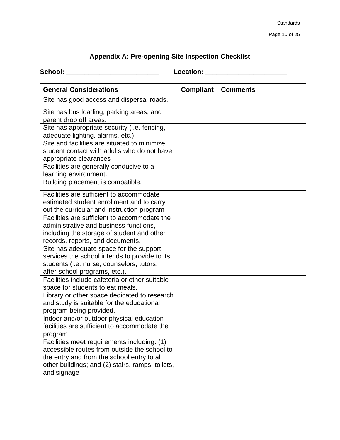### **Appendix A: Pre-opening Site Inspection Checklist**

<span id="page-9-0"></span>

| School: |  |
|---------|--|
|         |  |
|         |  |

**School: \_\_\_\_\_\_\_\_\_\_\_\_\_\_\_\_\_\_\_\_\_\_\_\_\_ Location: \_\_\_\_\_\_\_\_\_\_\_\_\_\_\_\_\_\_\_\_\_\_**

| <b>General Considerations</b>                                                   | <b>Compliant</b> | <b>Comments</b> |
|---------------------------------------------------------------------------------|------------------|-----------------|
| Site has good access and dispersal roads.                                       |                  |                 |
| Site has bus loading, parking areas, and<br>parent drop off areas.              |                  |                 |
| Site has appropriate security (i.e. fencing,                                    |                  |                 |
| adequate lighting, alarms, etc.).                                               |                  |                 |
| Site and facilities are situated to minimize                                    |                  |                 |
| student contact with adults who do not have                                     |                  |                 |
| appropriate clearances                                                          |                  |                 |
| Facilities are generally conducive to a                                         |                  |                 |
| learning environment.                                                           |                  |                 |
| Building placement is compatible.                                               |                  |                 |
| Facilities are sufficient to accommodate                                        |                  |                 |
| estimated student enrollment and to carry                                       |                  |                 |
| out the curricular and instruction program                                      |                  |                 |
| Facilities are sufficient to accommodate the                                    |                  |                 |
| administrative and business functions,                                          |                  |                 |
| including the storage of student and other                                      |                  |                 |
| records, reports, and documents.                                                |                  |                 |
| Site has adequate space for the support                                         |                  |                 |
| services the school intends to provide to its                                   |                  |                 |
| students (i.e. nurse, counselors, tutors,                                       |                  |                 |
| after-school programs, etc.).<br>Facilities include cafeteria or other suitable |                  |                 |
| space for students to eat meals.                                                |                  |                 |
| Library or other space dedicated to research                                    |                  |                 |
| and study is suitable for the educational                                       |                  |                 |
| program being provided.                                                         |                  |                 |
| Indoor and/or outdoor physical education                                        |                  |                 |
| facilities are sufficient to accommodate the                                    |                  |                 |
| program                                                                         |                  |                 |
| Facilities meet requirements including: (1)                                     |                  |                 |
| accessible routes from outside the school to                                    |                  |                 |
| the entry and from the school entry to all                                      |                  |                 |
| other buildings; and (2) stairs, ramps, toilets,                                |                  |                 |
| and signage                                                                     |                  |                 |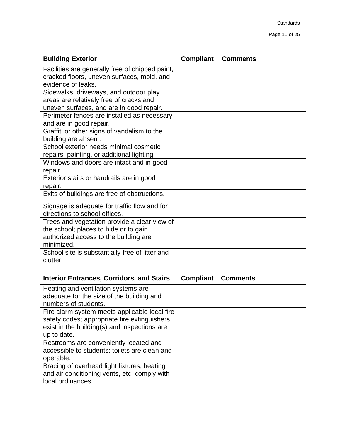| <b>Building Exterior</b>                        | <b>Compliant</b> | <b>Comments</b> |
|-------------------------------------------------|------------------|-----------------|
| Facilities are generally free of chipped paint, |                  |                 |
| cracked floors, uneven surfaces, mold, and      |                  |                 |
| evidence of leaks.                              |                  |                 |
| Sidewalks, driveways, and outdoor play          |                  |                 |
| areas are relatively free of cracks and         |                  |                 |
| uneven surfaces, and are in good repair.        |                  |                 |
| Perimeter fences are installed as necessary     |                  |                 |
| and are in good repair.                         |                  |                 |
| Graffiti or other signs of vandalism to the     |                  |                 |
| building are absent.                            |                  |                 |
| School exterior needs minimal cosmetic          |                  |                 |
| repairs, painting, or additional lighting.      |                  |                 |
| Windows and doors are intact and in good        |                  |                 |
| repair.                                         |                  |                 |
| Exterior stairs or handrails are in good        |                  |                 |
| repair.                                         |                  |                 |
| Exits of buildings are free of obstructions.    |                  |                 |
| Signage is adequate for traffic flow and for    |                  |                 |
| directions to school offices.                   |                  |                 |
| Trees and vegetation provide a clear view of    |                  |                 |
| the school; places to hide or to gain           |                  |                 |
| authorized access to the building are           |                  |                 |
| minimized.                                      |                  |                 |
| School site is substantially free of litter and |                  |                 |
| clutter.                                        |                  |                 |

| <b>Interior Entrances, Corridors, and Stairs</b>                                                                                                             | <b>Compliant</b> | <b>Comments</b> |
|--------------------------------------------------------------------------------------------------------------------------------------------------------------|------------------|-----------------|
| Heating and ventilation systems are<br>adequate for the size of the building and<br>numbers of students.                                                     |                  |                 |
| Fire alarm system meets applicable local fire<br>safety codes; appropriate fire extinguishers<br>exist in the building(s) and inspections are<br>up to date. |                  |                 |
| Restrooms are conveniently located and<br>accessible to students; toilets are clean and<br>operable.                                                         |                  |                 |
| Bracing of overhead light fixtures, heating<br>and air conditioning vents, etc. comply with<br>local ordinances.                                             |                  |                 |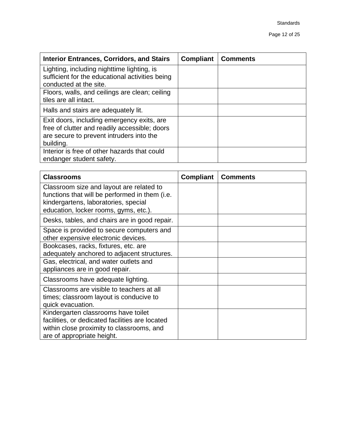| <b>Interior Entrances, Corridors, and Stairs</b>                                                                                                     | <b>Compliant</b> | <b>Comments</b> |
|------------------------------------------------------------------------------------------------------------------------------------------------------|------------------|-----------------|
| Lighting, including nighttime lighting, is<br>sufficient for the educational activities being<br>conducted at the site.                              |                  |                 |
| Floors, walls, and ceilings are clean; ceiling<br>tiles are all intact.                                                                              |                  |                 |
| Halls and stairs are adequately lit.                                                                                                                 |                  |                 |
| Exit doors, including emergency exits, are<br>free of clutter and readily accessible; doors<br>are secure to prevent intruders into the<br>building. |                  |                 |
| Interior is free of other hazards that could<br>endanger student safety.                                                                             |                  |                 |

| <b>Classrooms</b>                                                                                                                                                           | <b>Compliant</b> | <b>Comments</b> |
|-----------------------------------------------------------------------------------------------------------------------------------------------------------------------------|------------------|-----------------|
| Classroom size and layout are related to<br>functions that will be performed in them (i.e.<br>kindergartens, laboratories, special<br>education, locker rooms, gyms, etc.). |                  |                 |
| Desks, tables, and chairs are in good repair.                                                                                                                               |                  |                 |
| Space is provided to secure computers and<br>other expensive electronic devices.                                                                                            |                  |                 |
| Bookcases, racks, fixtures, etc. are<br>adequately anchored to adjacent structures.                                                                                         |                  |                 |
| Gas, electrical, and water outlets and<br>appliances are in good repair.                                                                                                    |                  |                 |
| Classrooms have adequate lighting.                                                                                                                                          |                  |                 |
| Classrooms are visible to teachers at all<br>times; classroom layout is conducive to<br>quick evacuation.                                                                   |                  |                 |
| Kindergarten classrooms have toilet<br>facilities, or dedicated facilities are located<br>within close proximity to classrooms, and<br>are of appropriate height.           |                  |                 |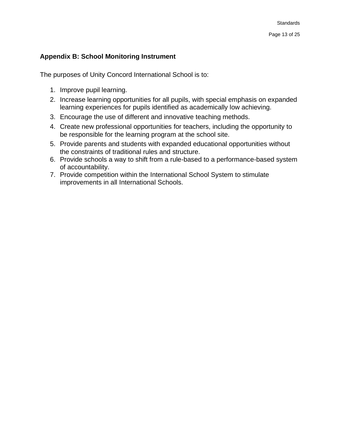#### <span id="page-12-0"></span>**Appendix B: School Monitoring Instrument**

The purposes of Unity Concord International School is to:

- 1. Improve pupil learning.
- 2. Increase learning opportunities for all pupils, with special emphasis on expanded learning experiences for pupils identified as academically low achieving.
- 3. Encourage the use of different and innovative teaching methods.
- 4. Create new professional opportunities for teachers, including the opportunity to be responsible for the learning program at the school site.
- 5. Provide parents and students with expanded educational opportunities without the constraints of traditional rules and structure.
- 6. Provide schools a way to shift from a rule-based to a performance-based system of accountability.
- 7. Provide competition within the International School System to stimulate improvements in all International Schools.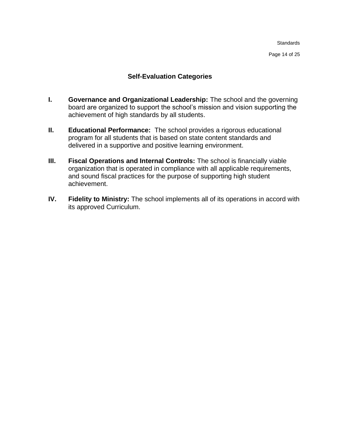Page 14 of 25

#### **Self-Evaluation Categories**

- <span id="page-13-0"></span>**I. Governance and Organizational Leadership:** The school and the governing board are organized to support the school's mission and vision supporting the achievement of high standards by all students.
- **II. Educational Performance:** The school provides a rigorous educational program for all students that is based on state content standards and delivered in a supportive and positive learning environment.
- **III. Fiscal Operations and Internal Controls:** The school is financially viable organization that is operated in compliance with all applicable requirements, and sound fiscal practices for the purpose of supporting high student achievement.
- **IV. Fidelity to Ministry:** The school implements all of its operations in accord with its approved Curriculum.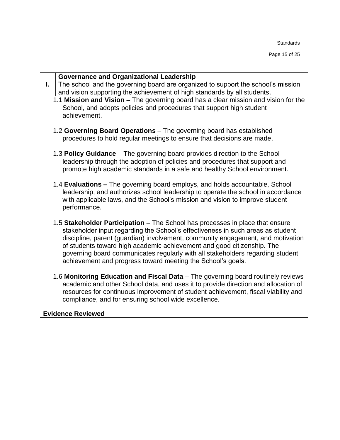Page 15 of 25

| <b>Governance and Organizational Leadership</b><br>The school and the governing board are organized to support the school's mission<br>L.<br>and vision supporting the achievement of high standards by all students.<br>1.1 Mission and Vision - The governing board has a clear mission and vision for the                                                                                                                                                                   |
|--------------------------------------------------------------------------------------------------------------------------------------------------------------------------------------------------------------------------------------------------------------------------------------------------------------------------------------------------------------------------------------------------------------------------------------------------------------------------------|
|                                                                                                                                                                                                                                                                                                                                                                                                                                                                                |
| School, and adopts policies and procedures that support high student<br>achievement.                                                                                                                                                                                                                                                                                                                                                                                           |
| 1.2 Governing Board Operations - The governing board has established<br>procedures to hold regular meetings to ensure that decisions are made.                                                                                                                                                                                                                                                                                                                                 |
| 1.3 Policy Guidance – The governing board provides direction to the School<br>leadership through the adoption of policies and procedures that support and<br>promote high academic standards in a safe and healthy School environment.                                                                                                                                                                                                                                         |
| 1.4 Evaluations – The governing board employs, and holds accountable, School<br>leadership, and authorizes school leadership to operate the school in accordance<br>with applicable laws, and the School's mission and vision to improve student<br>performance.                                                                                                                                                                                                               |
| 1.5 Stakeholder Participation - The School has processes in place that ensure<br>stakeholder input regarding the School's effectiveness in such areas as student<br>discipline, parent (guardian) involvement, community engagement, and motivation<br>of students toward high academic achievement and good citizenship. The<br>governing board communicates regularly with all stakeholders regarding student<br>achievement and progress toward meeting the School's goals. |
| 1.6 Monitoring Education and Fiscal Data - The governing board routinely reviews<br>academic and other School data, and uses it to provide direction and allocation of<br>resources for continuous improvement of student achievement, fiscal viability and<br>compliance, and for ensuring school wide excellence.                                                                                                                                                            |
| <b>Evidence Reviewed</b>                                                                                                                                                                                                                                                                                                                                                                                                                                                       |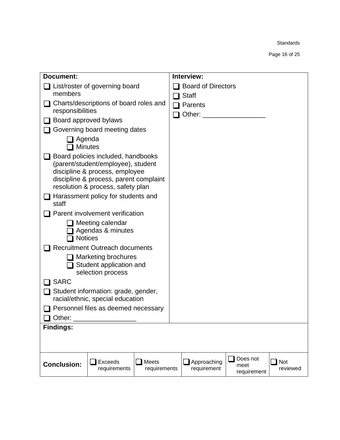Page 16 of 25

| Document:                |                                                                                                                                                                                           |                       | Interview:                 |                                 |                        |
|--------------------------|-------------------------------------------------------------------------------------------------------------------------------------------------------------------------------------------|-----------------------|----------------------------|---------------------------------|------------------------|
|                          | List/roster of governing board                                                                                                                                                            |                       | <b>Board of Directors</b>  |                                 |                        |
| members                  |                                                                                                                                                                                           |                       | <b>Staff</b>               |                                 |                        |
| responsibilities         | Charts/descriptions of board roles and                                                                                                                                                    |                       | Parents<br>Other:          |                                 |                        |
|                          | Board approved bylaws                                                                                                                                                                     |                       |                            |                                 |                        |
|                          | Governing board meeting dates                                                                                                                                                             |                       |                            |                                 |                        |
| Agenda<br><b>Minutes</b> |                                                                                                                                                                                           |                       |                            |                                 |                        |
|                          | Board policies included, handbooks<br>(parent/student/employee), student<br>discipline & process, employee<br>discipline & process, parent complaint<br>resolution & process, safety plan |                       |                            |                                 |                        |
| staff                    | Harassment policy for students and                                                                                                                                                        |                       |                            |                                 |                        |
|                          | Parent involvement verification                                                                                                                                                           |                       |                            |                                 |                        |
| <b>Notices</b>           | Meeting calendar<br>Agendas & minutes                                                                                                                                                     |                       |                            |                                 |                        |
|                          | <b>Recruitment Outreach documents</b>                                                                                                                                                     |                       |                            |                                 |                        |
|                          | <b>Marketing brochures</b><br>Student application and<br>selection process                                                                                                                |                       |                            |                                 |                        |
| <b>SARC</b>              |                                                                                                                                                                                           |                       |                            |                                 |                        |
|                          | Student information: grade, gender,<br>racial/ethnic, special education                                                                                                                   |                       |                            |                                 |                        |
| Other:                   | Personnel files as deemed necessary                                                                                                                                                       |                       |                            |                                 |                        |
| <b>Findings:</b>         |                                                                                                                                                                                           |                       |                            |                                 |                        |
|                          |                                                                                                                                                                                           |                       |                            |                                 |                        |
| <b>Conclusion:</b>       | <b>Exceeds</b><br>requirements                                                                                                                                                            | Meets<br>requirements | Approaching<br>requirement | Does not<br>meet<br>requirement | <b>Not</b><br>reviewed |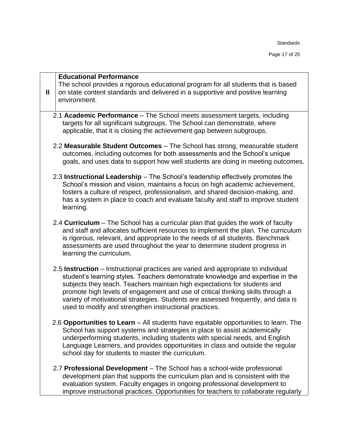Page 17 of 25

| $\mathbf{I}$ | <b>Educational Performance</b><br>The school provides a rigorous educational program for all students that is based<br>on state content standards and delivered in a supportive and positive learning<br>environment.                                                                                                                                                                                                                                                               |
|--------------|-------------------------------------------------------------------------------------------------------------------------------------------------------------------------------------------------------------------------------------------------------------------------------------------------------------------------------------------------------------------------------------------------------------------------------------------------------------------------------------|
|              | 2.1 Academic Performance - The School meets assessment targets, including<br>targets for all significant subgroups. The School can demonstrate, where<br>applicable, that it is closing the achievement gap between subgroups.                                                                                                                                                                                                                                                      |
|              | 2.2 Measurable Student Outcomes - The School has strong, measurable student<br>outcomes, including outcomes for both assessments and the School's unique<br>goals, and uses data to support how well students are doing in meeting outcomes.                                                                                                                                                                                                                                        |
|              | 2.3 Instructional Leadership - The School's leadership effectively promotes the<br>School's mission and vision, maintains a focus on high academic achievement,<br>fosters a culture of respect, professionalism, and shared decision-making, and<br>has a system in place to coach and evaluate faculty and staff to improve student<br>learning.                                                                                                                                  |
|              | 2.4 Curriculum – The School has a curricular plan that guides the work of faculty<br>and staff and allocates sufficient resources to implement the plan. The curriculum<br>is rigorous, relevant, and appropriate to the needs of all students. Benchmark<br>assessments are used throughout the year to determine student progress in<br>learning the curriculum.                                                                                                                  |
|              | 2.5 Instruction – Instructional practices are varied and appropriate to individual<br>student's learning styles. Teachers demonstrate knowledge and expertise in the<br>subjects they teach. Teachers maintain high expectations for students and<br>promote high levels of engagement and use of critical thinking skills through a<br>variety of motivational strategies. Students are assessed frequently, and data is<br>used to modify and strengthen instructional practices. |
|              | 2.6 Opportunities to Learn – All students have equitable opportunities to learn. The<br>School has support systems and strategies in place to assist academically<br>underperforming students, including students with special needs, and English<br>Language Learners, and provides opportunities in class and outside the regular<br>school day for students to master the curriculum.                                                                                            |
|              | 2.7 Professional Development - The School has a school-wide professional<br>development plan that supports the curriculum plan and is consistent with the<br>evaluation system. Faculty engages in ongoing professional development to<br>improve instructional practices. Opportunities for teachers to collaborate regularly                                                                                                                                                      |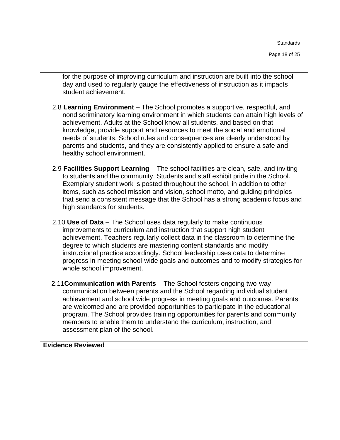Page 18 of 25

for the purpose of improving curriculum and instruction are built into the school day and used to regularly gauge the effectiveness of instruction as it impacts student achievement.

- 2.8 **Learning Environment** The School promotes a supportive, respectful, and nondiscriminatory learning environment in which students can attain high levels of achievement. Adults at the School know all students, and based on that knowledge, provide support and resources to meet the social and emotional needs of students. School rules and consequences are clearly understood by parents and students, and they are consistently applied to ensure a safe and healthy school environment.
- 2.9 **Facilities Support Learning** The school facilities are clean, safe, and inviting to students and the community. Students and staff exhibit pride in the School. Exemplary student work is posted throughout the school, in addition to other items, such as school mission and vision, school motto, and guiding principles that send a consistent message that the School has a strong academic focus and high standards for students.
- 2.10 **Use of Data** The School uses data regularly to make continuous improvements to curriculum and instruction that support high student achievement. Teachers regularly collect data in the classroom to determine the degree to which students are mastering content standards and modify instructional practice accordingly. School leadership uses data to determine progress in meeting school-wide goals and outcomes and to modify strategies for whole school improvement.
- 2.11**Communication with Parents** The School fosters ongoing two-way communication between parents and the School regarding individual student achievement and school wide progress in meeting goals and outcomes. Parents are welcomed and are provided opportunities to participate in the educational program. The School provides training opportunities for parents and community members to enable them to understand the curriculum, instruction, and assessment plan of the school.

**Evidence Reviewed**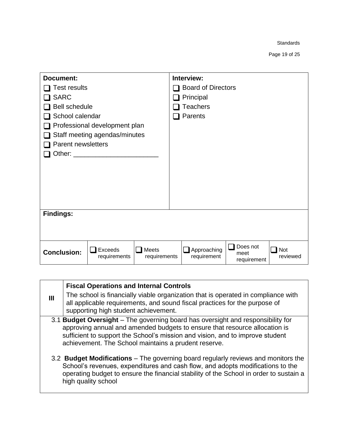Page 19 of 25

| Document:            |                               |                       | Interview:                 |                                 |                        |
|----------------------|-------------------------------|-----------------------|----------------------------|---------------------------------|------------------------|
| Test results         |                               |                       | <b>Board of Directors</b>  |                                 |                        |
| <b>SARC</b>          |                               |                       | Principal                  |                                 |                        |
| <b>Bell schedule</b> |                               |                       | <b>Teachers</b>            |                                 |                        |
| School calendar      |                               |                       | Parents                    |                                 |                        |
|                      | Professional development plan |                       |                            |                                 |                        |
|                      | Staff meeting agendas/minutes |                       |                            |                                 |                        |
| Parent newsletters   |                               |                       |                            |                                 |                        |
|                      |                               |                       |                            |                                 |                        |
|                      |                               |                       |                            |                                 |                        |
|                      |                               |                       |                            |                                 |                        |
|                      |                               |                       |                            |                                 |                        |
|                      |                               |                       |                            |                                 |                        |
|                      |                               |                       |                            |                                 |                        |
| <b>Findings:</b>     |                               |                       |                            |                                 |                        |
|                      |                               |                       |                            |                                 |                        |
|                      |                               |                       |                            |                                 |                        |
| <b>Conclusion:</b>   | Exceeds<br>requirements       | Meets<br>requirements | Approaching<br>requirement | Does not<br>meet<br>requirement | <b>Not</b><br>reviewed |

| $\mathbf{m}$ | <b>Fiscal Operations and Internal Controls</b><br>The school is financially viable organization that is operated in compliance with<br>all applicable requirements, and sound fiscal practices for the purpose of<br>supporting high student achievement.                                              |
|--------------|--------------------------------------------------------------------------------------------------------------------------------------------------------------------------------------------------------------------------------------------------------------------------------------------------------|
|              | 3.1 Budget Oversight – The governing board has oversight and responsibility for<br>approving annual and amended budgets to ensure that resource allocation is<br>sufficient to support the School's mission and vision, and to improve student<br>achievement. The School maintains a prudent reserve. |
|              | 3.2 Budget Modifications – The governing board regularly reviews and monitors the<br>School's revenues, expenditures and cash flow, and adopts modifications to the<br>operating budget to ensure the financial stability of the School in order to sustain a<br>high quality school                   |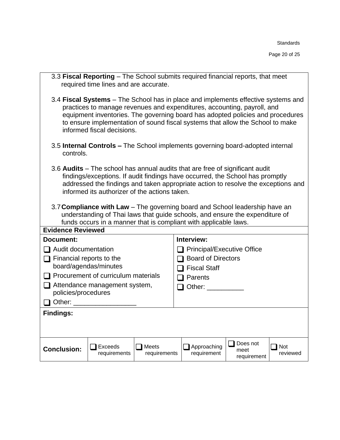Page 20 of 25

|                                                                                                                                                                                                                                                                                                                                                                                                                                                                                                                                        | 3.3 Fiscal Reporting - The School submits required financial reports, that meet<br>required time lines and are accurate.                                                                                                                                                                                                                                       |  |                              |  |  |  |  |  |  |  |
|----------------------------------------------------------------------------------------------------------------------------------------------------------------------------------------------------------------------------------------------------------------------------------------------------------------------------------------------------------------------------------------------------------------------------------------------------------------------------------------------------------------------------------------|----------------------------------------------------------------------------------------------------------------------------------------------------------------------------------------------------------------------------------------------------------------------------------------------------------------------------------------------------------------|--|------------------------------|--|--|--|--|--|--|--|
|                                                                                                                                                                                                                                                                                                                                                                                                                                                                                                                                        | 3.4 Fiscal Systems – The School has in place and implements effective systems and<br>practices to manage revenues and expenditures, accounting, payroll, and<br>equipment inventories. The governing board has adopted policies and procedures<br>to ensure implementation of sound fiscal systems that allow the School to make<br>informed fiscal decisions. |  |                              |  |  |  |  |  |  |  |
| 3.5 Internal Controls - The School implements governing board-adopted internal<br>controls.                                                                                                                                                                                                                                                                                                                                                                                                                                            |                                                                                                                                                                                                                                                                                                                                                                |  |                              |  |  |  |  |  |  |  |
| 3.6 Audits – The school has annual audits that are free of significant audit<br>findings/exceptions. If audit findings have occurred, the School has promptly<br>addressed the findings and taken appropriate action to resolve the exceptions and<br>informed its authorizer of the actions taken.<br>3.7 Compliance with Law – The governing board and School leadership have an<br>understanding of Thai laws that guide schools, and ensure the expenditure of<br>funds occurs in a manner that is compliant with applicable laws. |                                                                                                                                                                                                                                                                                                                                                                |  |                              |  |  |  |  |  |  |  |
|                                                                                                                                                                                                                                                                                                                                                                                                                                                                                                                                        |                                                                                                                                                                                                                                                                                                                                                                |  |                              |  |  |  |  |  |  |  |
| <b>Evidence Reviewed</b>                                                                                                                                                                                                                                                                                                                                                                                                                                                                                                               |                                                                                                                                                                                                                                                                                                                                                                |  |                              |  |  |  |  |  |  |  |
| <b>Document:</b>                                                                                                                                                                                                                                                                                                                                                                                                                                                                                                                       |                                                                                                                                                                                                                                                                                                                                                                |  | Interview:                   |  |  |  |  |  |  |  |
| $\Box$ Audit documentation                                                                                                                                                                                                                                                                                                                                                                                                                                                                                                             |                                                                                                                                                                                                                                                                                                                                                                |  | □ Principal/Executive Office |  |  |  |  |  |  |  |
| $\Box$ Financial reports to the                                                                                                                                                                                                                                                                                                                                                                                                                                                                                                        |                                                                                                                                                                                                                                                                                                                                                                |  | <b>Board of Directors</b>    |  |  |  |  |  |  |  |
|                                                                                                                                                                                                                                                                                                                                                                                                                                                                                                                                        | board/agendas/minutes                                                                                                                                                                                                                                                                                                                                          |  | <b>Fiscal Staff</b>          |  |  |  |  |  |  |  |
|                                                                                                                                                                                                                                                                                                                                                                                                                                                                                                                                        | Procurement of curriculum materials                                                                                                                                                                                                                                                                                                                            |  | $\Box$ Parents               |  |  |  |  |  |  |  |
| policies/procedures                                                                                                                                                                                                                                                                                                                                                                                                                                                                                                                    | $\Box$ Attendance management system,                                                                                                                                                                                                                                                                                                                           |  | Other:                       |  |  |  |  |  |  |  |
| Other: and the state of the state of the state of the state of the state of the state of the state of the state of the state of the state of the state of the state of the state of the state of the state of the state of the                                                                                                                                                                                                                                                                                                         |                                                                                                                                                                                                                                                                                                                                                                |  |                              |  |  |  |  |  |  |  |
| <b>Findings:</b>                                                                                                                                                                                                                                                                                                                                                                                                                                                                                                                       |                                                                                                                                                                                                                                                                                                                                                                |  |                              |  |  |  |  |  |  |  |
|                                                                                                                                                                                                                                                                                                                                                                                                                                                                                                                                        |                                                                                                                                                                                                                                                                                                                                                                |  |                              |  |  |  |  |  |  |  |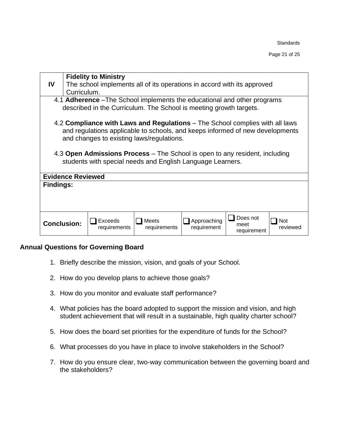| <b>Fidelity to Ministry</b>                                                     |                                                                         |  |  |  |  |  |  |  |
|---------------------------------------------------------------------------------|-------------------------------------------------------------------------|--|--|--|--|--|--|--|
| IV<br>Curriculum.                                                               | The school implements all of its operations in accord with its approved |  |  |  |  |  |  |  |
|                                                                                 |                                                                         |  |  |  |  |  |  |  |
| 4.1 <b>Adherence</b> – The School implements the educational and other programs |                                                                         |  |  |  |  |  |  |  |
| described in the Curriculum. The School is meeting growth targets.              |                                                                         |  |  |  |  |  |  |  |
|                                                                                 |                                                                         |  |  |  |  |  |  |  |
| 4.2 Compliance with Laws and Regulations – The School complies with all laws    |                                                                         |  |  |  |  |  |  |  |
| and regulations applicable to schools, and keeps informed of new developments   |                                                                         |  |  |  |  |  |  |  |
| and changes to existing laws/regulations.                                       |                                                                         |  |  |  |  |  |  |  |
|                                                                                 |                                                                         |  |  |  |  |  |  |  |
| 4.3 Open Admissions Process – The School is open to any resident, including     |                                                                         |  |  |  |  |  |  |  |
| students with special needs and English Language Learners.                      |                                                                         |  |  |  |  |  |  |  |
|                                                                                 |                                                                         |  |  |  |  |  |  |  |
| <b>Evidence Reviewed</b>                                                        |                                                                         |  |  |  |  |  |  |  |
| <b>Findings:</b>                                                                |                                                                         |  |  |  |  |  |  |  |
|                                                                                 |                                                                         |  |  |  |  |  |  |  |
|                                                                                 |                                                                         |  |  |  |  |  |  |  |
|                                                                                 |                                                                         |  |  |  |  |  |  |  |
|                                                                                 | Does not                                                                |  |  |  |  |  |  |  |
| Approaching<br>Exceeds<br>Meets<br><b>Conclusion:</b><br>meet<br>requirement    | Not<br>reviewed                                                         |  |  |  |  |  |  |  |
| requirements<br>requirements                                                    | requirement                                                             |  |  |  |  |  |  |  |

#### <span id="page-20-0"></span>**Annual Questions for Governing Board**

- 1. Briefly describe the mission, vision, and goals of your School.
- 2. How do you develop plans to achieve those goals?
- 3. How do you monitor and evaluate staff performance?
- 4. What policies has the board adopted to support the mission and vision, and high student achievement that will result in a sustainable, high quality charter school?
- 5. How does the board set priorities for the expenditure of funds for the School?
- 6. What processes do you have in place to involve stakeholders in the School?
- 7. How do you ensure clear, two-way communication between the governing board and the stakeholders?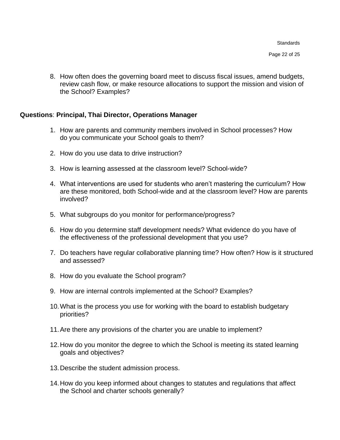Page 22 of 25

8. How often does the governing board meet to discuss fiscal issues, amend budgets, review cash flow, or make resource allocations to support the mission and vision of the School? Examples?

#### <span id="page-21-0"></span>**Questions**: **Principal, Thai Director, Operations Manager**

- 1. How are parents and community members involved in School processes? How do you communicate your School goals to them?
- 2. How do you use data to drive instruction?
- 3. How is learning assessed at the classroom level? School-wide?
- 4. What interventions are used for students who aren't mastering the curriculum? How are these monitored, both School-wide and at the classroom level? How are parents involved?
- 5. What subgroups do you monitor for performance/progress?
- 6. How do you determine staff development needs? What evidence do you have of the effectiveness of the professional development that you use?
- 7. Do teachers have regular collaborative planning time? How often? How is it structured and assessed?
- 8. How do you evaluate the School program?
- 9. How are internal controls implemented at the School? Examples?
- 10.What is the process you use for working with the board to establish budgetary priorities?
- 11.Are there any provisions of the charter you are unable to implement?
- 12.How do you monitor the degree to which the School is meeting its stated learning goals and objectives?
- 13.Describe the student admission process.
- 14.How do you keep informed about changes to statutes and regulations that affect the School and charter schools generally?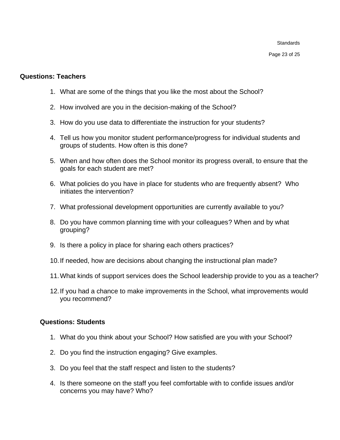Page 23 of 25

#### <span id="page-22-0"></span>**Questions: Teachers**

- 1. What are some of the things that you like the most about the School?
- 2. How involved are you in the decision-making of the School?
- 3. How do you use data to differentiate the instruction for your students?
- 4. Tell us how you monitor student performance/progress for individual students and groups of students. How often is this done?
- 5. When and how often does the School monitor its progress overall, to ensure that the goals for each student are met?
- 6. What policies do you have in place for students who are frequently absent? Who initiates the intervention?
- 7. What professional development opportunities are currently available to you?
- 8. Do you have common planning time with your colleagues? When and by what grouping?
- 9. Is there a policy in place for sharing each others practices?
- 10.If needed, how are decisions about changing the instructional plan made?
- 11.What kinds of support services does the School leadership provide to you as a teacher?
- 12.If you had a chance to make improvements in the School, what improvements would you recommend?

#### <span id="page-22-1"></span>**Questions: Students**

- 1. What do you think about your School? How satisfied are you with your School?
- 2. Do you find the instruction engaging? Give examples.
- 3. Do you feel that the staff respect and listen to the students?
- 4. Is there someone on the staff you feel comfortable with to confide issues and/or concerns you may have? Who?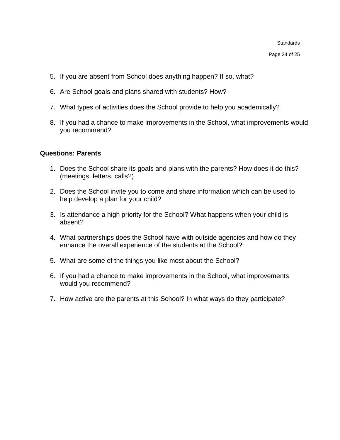Page 24 of 25

- 5. If you are absent from School does anything happen? If so, what?
- 6. Are School goals and plans shared with students? How?
- 7. What types of activities does the School provide to help you academically?
- 8. If you had a chance to make improvements in the School, what improvements would you recommend?

#### <span id="page-23-0"></span>**Questions: Parents**

- 1. Does the School share its goals and plans with the parents? How does it do this? (meetings, letters, calls?)
- 2. Does the School invite you to come and share information which can be used to help develop a plan for your child?
- 3. Is attendance a high priority for the School? What happens when your child is absent?
- 4. What partnerships does the School have with outside agencies and how do they enhance the overall experience of the students at the School?
- 5. What are some of the things you like most about the School?
- 6. If you had a chance to make improvements in the School, what improvements would you recommend?
- 7. How active are the parents at this School? In what ways do they participate?